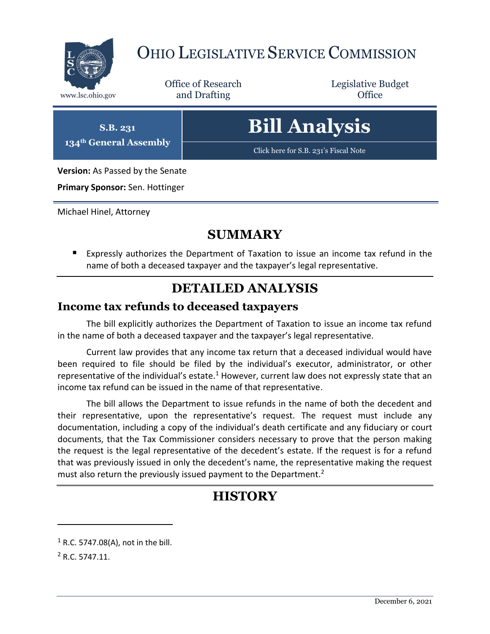

## OHIO LEGISLATIVE SERVICE COMMISSION

Office of Research www.lsc.ohio.gov **and Drafting Office** 

Legislative Budget

**S.B. 231 134th General Assembly**

# **Bill Analysis**

[Click here for S.B. 231's Fiscal Note](https://www.legislature.ohio.gov/legislation/legislation-documents?id=GA134-SB-231)

**Version:** As Passed by the Senate

**Primary Sponsor:** Sen. Hottinger

Michael Hinel, Attorney

#### **SUMMARY**

 Expressly authorizes the Department of Taxation to issue an income tax refund in the name of both a deceased taxpayer and the taxpayer's legal representative.

#### **DETAILED ANALYSIS**

#### **Income tax refunds to deceased taxpayers**

The bill explicitly authorizes the Department of Taxation to issue an income tax refund in the name of both a deceased taxpayer and the taxpayer's legal representative.

Current law provides that any income tax return that a deceased individual would have been required to file should be filed by the individual's executor, administrator, or other representative of the individual's estate.<sup>1</sup> However, current law does not expressly state that an income tax refund can be issued in the name of that representative.

The bill allows the Department to issue refunds in the name of both the decedent and their representative, upon the representative's request. The request must include any documentation, including a copy of the individual's death certificate and any fiduciary or court documents, that the Tax Commissioner considers necessary to prove that the person making the request is the legal representative of the decedent's estate. If the request is for a refund that was previously issued in only the decedent's name, the representative making the request must also return the previously issued payment to the Department.<sup>2</sup>

### **HISTORY**

 $\overline{a}$ 

 $1$  R.C. 5747.08(A), not in the bill.

<sup>2</sup> R.C. 5747.11.